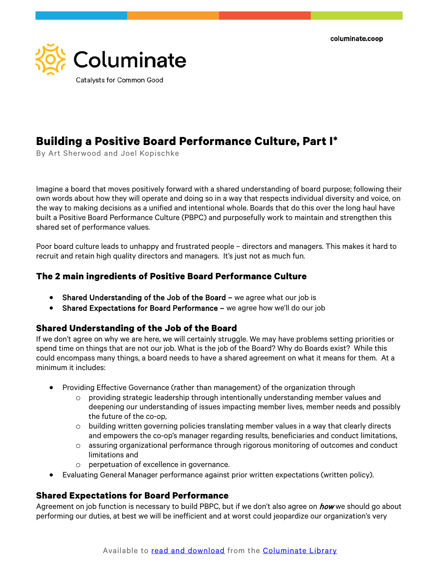columinate.coop



# **Building a Positive Board Performance Culture, Part I\***

By Art Sherwood and Joel Kopischke

Imagine a board that moves positively forward with a shared understanding of board purpose; following their own words about how they will operate and doing so in a way that respects individual diversity and voice, on the way to making decisions as a unified and intentional whole. Boards that do this over the long haul have built a Positive Board Performance Culture (PBPC) and purposefully work to maintain and strengthen this shared set of performance values.

Poor board culture leads to unhappy and frustrated people – directors and managers. This makes it hard to recruit and retain high quality directors and managers. It's just not as much fun.

# **The 2 main ingredients of Positive Board Performance Culture**

- Shared Understanding of the Job of the Board we agree what our job is
- Shared Expectations for Board Performance we agree how we'll do our job

# **Shared Understanding of the Job of the Board**

If we don't agree on why we are here, we will certainly struggle. We may have problems setting priorities or spend time on things that are not our job. What is the job of the Board? Why do Boards exist? While this could encompass many things, a board needs to have a shared agreement on what it means for them. At a minimum it includes:

- Providing Effective Governance (rather than management) of the organization through
	- $\circ$  providing strategic leadership through intentionally understanding member values and deepening our understanding of issues impacting member lives, member needs and possibly the future of the co-op,
	- $\circ$  building written governing policies translating member values in a way that clearly directs and empowers the co-op's manager regarding results, beneficiaries and conduct limitations,
	- o assuring organizational performance through rigorous monitoring of outcomes and conduct limitations and
	- o perpetuation of excellence in governance.
- Evaluating General Manager performance against prior written expectations (written policy).

# **Shared Expectations for Board Performance**

Agreement on job function is necessary to build PBPC, but if we don't also agree on *how* we should go about performing our duties, at best we will be inefficient and at worst could jeopardize our organization's very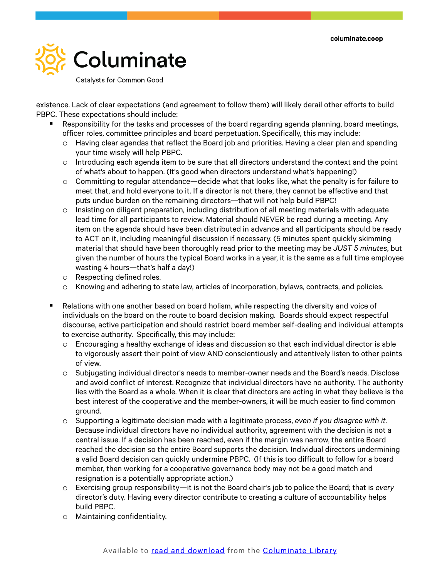

Catalysts for Common Good

existence. Lack of clear expectations (and agreement to follow them) will likely derail other efforts to build PBPC. These expectations should include:

- Responsibility for the tasks and processes of the board regarding agenda planning, board meetings, officer roles, committee principles and board perpetuation. Specifically, this may include:
	- $\circ$  Having clear agendas that reflect the Board job and priorities. Having a clear plan and spending your time wisely will help PBPC.
	- $\circ$  Introducing each agenda item to be sure that all directors understand the context and the point of what's about to happen. (It's good when directors understand what's happening!)
	- $\circ$  Committing to regular attendance—decide what that looks like, what the penalty is for failure to meet that, and hold everyone to it. If a director is not there, they cannot be effective and that puts undue burden on the remaining directors—that will not help build PBPC!
	- $\circ$  Insisting on diligent preparation, including distribution of all meeting materials with adequate lead time for all participants to review. Material should NEVER be read during a meeting. Any item on the agenda should have been distributed in advance and all participants should be ready to ACT on it, including meaningful discussion if necessary. (5 minutes spent quickly skimming material that should have been thoroughly read prior to the meeting may be *JUST 5 minutes*, but given the number of hours the typical Board works in a year, it is the same as a full time employee wasting 4 hours—that's half a day!)
	- o Respecting defined roles.
	- o Knowing and adhering to state law, articles of incorporation, bylaws, contracts, and policies.
- **EXECT** Relations with one another based on board holism, while respecting the diversity and voice of individuals on the board on the route to board decision making. Boards should expect respectful discourse, active participation and should restrict board member self-dealing and individual attempts to exercise authority. Specifically, this may include:
	- $\circ$  Encouraging a healthy exchange of ideas and discussion so that each individual director is able to vigorously assert their point of view AND conscientiously and attentively listen to other points of view.
	- o Subjugating individual director's needs to member-owner needs and the Board's needs. Disclose and avoid conflict of interest. Recognize that individual directors have no authority. The authority lies with the Board as a whole. When it is clear that directors are acting in what they believe is the best interest of the cooperative and the member-owners, it will be much easier to find common ground.
	- o Supporting a legitimate decision made with a legitimate process, *even if you disagree with it.*  Because individual directors have no individual authority, agreement with the decision is not a central issue. If a decision has been reached, even if the margin was narrow, the entire Board reached the decision so the entire Board supports the decision. Individual directors undermining a valid Board decision can quickly undermine PBPC. (If this is too difficult to follow for a board member, then working for a cooperative governance body may not be a good match and resignation is a potentially appropriate action.)
	- o Exercising group responsibility—it is not the Board chair's job to police the Board; that is *every* director's duty. Having every director contribute to creating a culture of accountability helps build PBPC.
	- o Maintaining confidentiality.